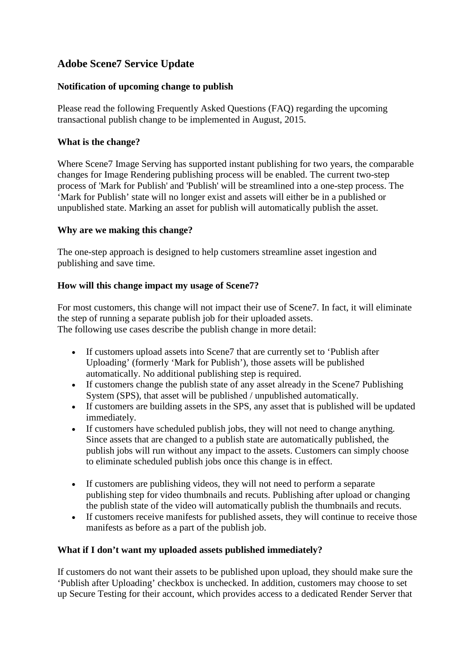# **Adobe Scene7 Service Update**

## **Notification of upcoming change to publish**

Please read the following Frequently Asked Questions (FAQ) regarding the upcoming transactional publish change to be implemented in August, 2015.

## **What is the change?**

Where Scene7 Image Serving has supported instant publishing for two years, the comparable changes for Image Rendering publishing process will be enabled. The current two-step process of 'Mark for Publish' and 'Publish' will be streamlined into a one-step process. The 'Mark for Publish' state will no longer exist and assets will either be in a published or unpublished state. Marking an asset for publish will automatically publish the asset.

## **Why are we making this change?**

The one-step approach is designed to help customers streamline asset ingestion and publishing and save time.

## **How will this change impact my usage of Scene7?**

For most customers, this change will not impact their use of Scene7. In fact, it will eliminate the step of running a separate publish job for their uploaded assets. The following use cases describe the publish change in more detail:

- If customers upload assets into Scene7 that are currently set to 'Publish after Uploading' (formerly 'Mark for Publish'), those assets will be published automatically. No additional publishing step is required.
- If customers change the publish state of any asset already in the Scene7 Publishing System (SPS), that asset will be published / unpublished automatically.
- If customers are building assets in the SPS, any asset that is published will be updated immediately.
- If customers have scheduled publish jobs, they will not need to change anything. Since assets that are changed to a publish state are automatically published, the publish jobs will run without any impact to the assets. Customers can simply choose to eliminate scheduled publish jobs once this change is in effect.
- If customers are publishing videos, they will not need to perform a separate publishing step for video thumbnails and recuts. Publishing after upload or changing the publish state of the video will automatically publish the thumbnails and recuts.
- If customers receive manifests for published assets, they will continue to receive those manifests as before as a part of the publish job.

## **What if I don't want my uploaded assets published immediately?**

If customers do not want their assets to be published upon upload, they should make sure the 'Publish after Uploading' checkbox is unchecked. In addition, customers may choose to set up Secure Testing for their account, which provides access to a dedicated Render Server that